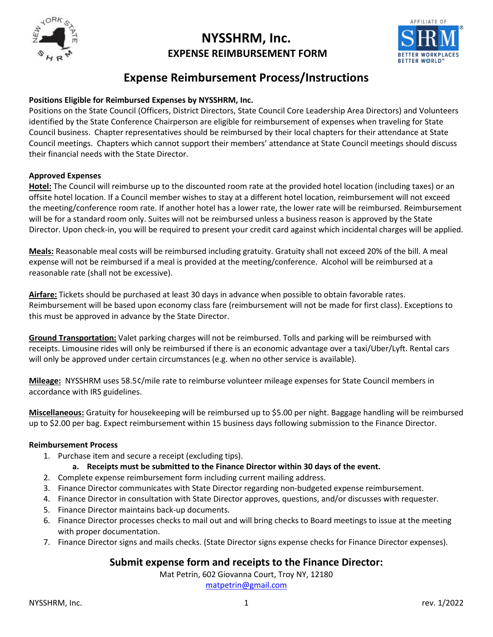

# **NYSSHRM, Inc. EXPENSE REIMBURSEMENT FORM**



# **Expense Reimbursement Process/Instructions**

#### **Positions Eligible for Reimbursed Expenses by NYSSHRM, Inc.**

Positions on the State Council (Officers, District Directors, State Council Core Leadership Area Directors) and Volunteers identified by the State Conference Chairperson are eligible for reimbursement of expenses when traveling for State Council business. Chapter representatives should be reimbursed by their local chapters for their attendance at State Council meetings. Chapters which cannot support their members' attendance at State Council meetings should discuss their financial needs with the State Director.

#### **Approved Expenses**

**Hotel:** The Council will reimburse up to the discounted room rate at the provided hotel location (including taxes) or an offsite hotel location. If a Council member wishes to stay at a different hotel location, reimbursement will not exceed the meeting/conference room rate. If another hotel has a lower rate, the lower rate will be reimbursed. Reimbursement will be for a standard room only. Suites will not be reimbursed unless a business reason is approved by the State Director. Upon check-in, you will be required to present your credit card against which incidental charges will be applied.

**Meals:** Reasonable meal costs will be reimbursed including gratuity. Gratuity shall not exceed 20% of the bill. A meal expense will not be reimbursed if a meal is provided at the meeting/conference. Alcohol will be reimbursed at a reasonable rate (shall not be excessive).

**Airfare:** Tickets should be purchased at least 30 days in advance when possible to obtain favorable rates. Reimbursement will be based upon economy class fare (reimbursement will not be made for first class). Exceptions to this must be approved in advance by the State Director.

**Ground Transportation:** Valet parking charges will not be reimbursed. Tolls and parking will be reimbursed with receipts. Limousine rides will only be reimbursed if there is an economic advantage over a taxi/Uber/Lyft. Rental cars will only be approved under certain circumstances (e.g. when no other service is available).

**Mileage:** NYSSHRM uses 58.5¢/mile rate to reimburse volunteer mileage expenses for State Council members in accordance with IRS guidelines.

**Miscellaneous:** Gratuity for housekeeping will be reimbursed up to \$5.00 per night. Baggage handling will be reimbursed up to \$2.00 per bag. Expect reimbursement within 15 business days following submission to the Finance Director.

#### **Reimbursement Process**

- 1. Purchase item and secure a receipt (excluding tips).
	- **a. Receipts must be submitted to the Finance Director within 30 days of the event.**
- 2. Complete expense reimbursement form including current mailing address.
- 3. Finance Director communicates with State Director regarding non-budgeted expense reimbursement.
- 4. Finance Director in consultation with State Director approves, questions, and/or discusses with requester.
- 5. Finance Director maintains back-up documents.
- 6. Finance Director processes checks to mail out and will bring checks to Board meetings to issue at the meeting with proper documentation.
- 7. Finance Director signs and mails checks. (State Director signs expense checks for Finance Director expenses).

## **Submit expense form and receipts to the Finance Director:**

Mat Petrin, 602 Giovanna Court, Troy NY, 12180

[matpetrin@gmail.com](mailto:matpetrin@gmail.com)